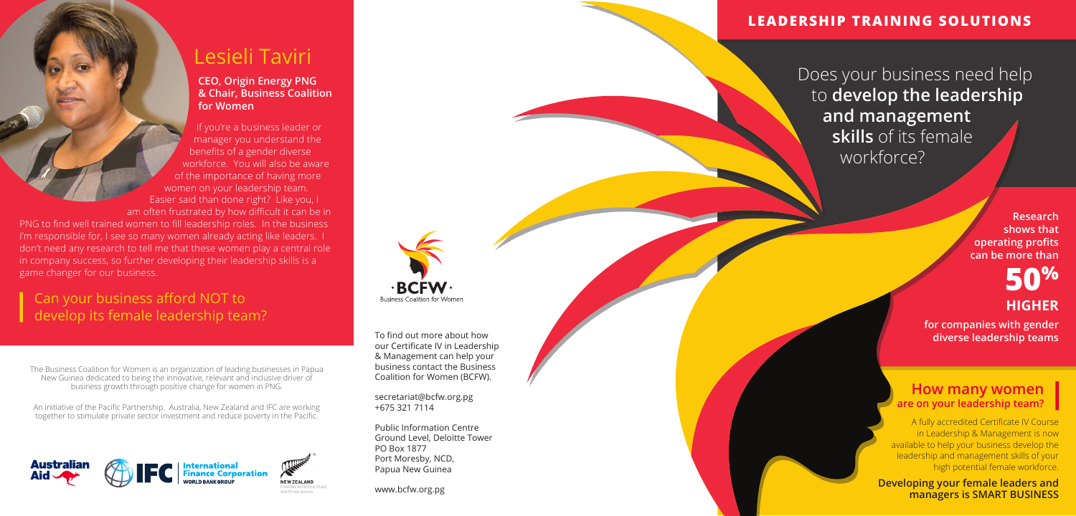The Business Coalition for Women is an organization of leading businesses in Papua New Guinea dedicated to being the innovative, relevant and inclusive driver of business growth through positive change for women in PNG.

If you're a business leader or manager you understand the benefits of a gender diverse workforce. You will also be aware of the importance of having more women on your leadership team. Easier said than done right? Like you, I am often frustrated by how difficult it can be in

An initiative of the Pacifc Partnership. Australia, New Zealand and IFC are working together to stimulate private sector investment and reduce poverty in the Pacifc.





# Lesieli Taviri

#### **CEO, Origin Energy PNG & Chair, Business Coalition for Women**

### Can your business afford NOT to develop its female leadership team?

To find out more about how our Certifcate IV in Leadership & Management can help your business contact the Business Coalition for Women (BCFW).

> A fully accredited Certificate IV Course in Leadership & Management is now available to help your business develop the leadership and management skills of your high potential female workforce.

PNG to fnd well trained women to fll leadership roles. In the business I'm responsible for, I see so many women already acting like leaders. I don't need any research to tell me that these women play a central role in company success, so further developing their leadership skills is a game changer for our business.

#### **How many women are on your leadership team?**

secretariat@bcfw.org.pg +675 321 7114

**Business Coalition for Women** 

Public Information Centre Ground Level, Deloitte Tower PO Box 1877 Port Moresby, NCD, Papua New Guinea

www.bcfw.org.pg

**Research shows that operating profits can be more than**

# **50% HIGHER**

**for companies with gender diverse leadership teams**

**Developing your female leaders and managers is SMART BUSINESS**

#### **LEADERSHIP TRAINING SOLUTIONS**

Does your business need help to **develop the leadership and management skills** of its female workforce?